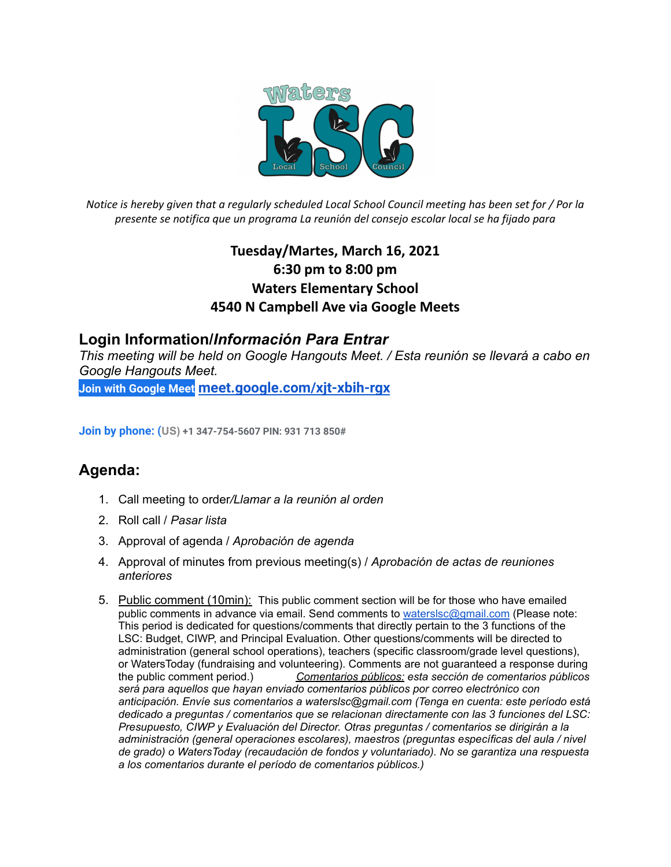

Notice is hereby given that a regularly scheduled Local School Council meeting has been set for / Por la *presente se notifica que un programa La reunión del consejo escolar local se ha fijado para*

## **Tuesday/Martes, March 16, 2021 6:30 pm to 8:00 pm Waters Elementary School 4540 N Campbell Ave via Google Meets**

## **Login Information/***Información Para Entrar*

*This meeting will be held on Google Hangouts Meet. / Esta reunión se llevará a cabo en Google Hangouts Meet.*

**[Join with Google Meet](https://meet.google.com/bim-ivwv-jiq?authuser=0&hs=122) [meet.google.com/xjt-xbih-rgx](http://meet.google.com/xjt-xbih-rgx)**

**Join by phone: (US) +1 347-754-5607 PIN: 931 713 850#**

## **Agenda:**

- 1. Call meeting to order*/Llamar a la reunión al orden*
- 2. Roll call / *Pasar lista*
- 3. Approval of agenda / *Aprobación de agenda*
- 4. Approval of minutes from previous meeting(s) / *Aprobación de actas de reuniones anteriores*
- 5. Public comment (10min): This public comment section will be for those who have emailed public comments in advance via email. Send comments to [waterslsc@gmail.com](mailto:waterslsc@gmail.com) (Please note: This period is dedicated for questions/comments that directly pertain to the 3 functions of the LSC: Budget, CIWP, and Principal Evaluation. Other questions/comments will be directed to administration (general school operations), teachers (specific classroom/grade level questions), or WatersToday (fundraising and volunteering). Comments are not guaranteed a response during the public comment period.) *Comentarios públicos: esta sección de comentarios públicos será para aquellos que hayan enviado comentarios públicos por correo electrónico con anticipación. Envíe sus comentarios a waterslsc@gmail.com (Tenga en cuenta: este período está dedicado a preguntas / comentarios que se relacionan directamente con las 3 funciones del LSC: Presupuesto, CIWP y Evaluación del Director. Otras preguntas / comentarios se dirigirán a la administración (general operaciones escolares), maestros (preguntas específicas del aula / nivel de grado) o WatersToday (recaudación de fondos y voluntariado). No se garantiza una respuesta a los comentarios durante el período de comentarios públicos.)*